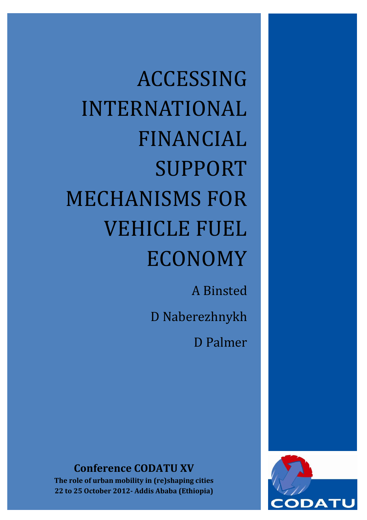ACCESSING INTERNATIONAL FINANCIAL SUPPORT MECHANISMS FOR VEHICLE FUEL ECONOMY

> A Binsted D Naberezhnykh D Palmer

**Conference CODATU XV**

**The role of urban mobility in (re)shaping cities 22 to 25 October 2012- Addis Ababa (Ethiopia)**

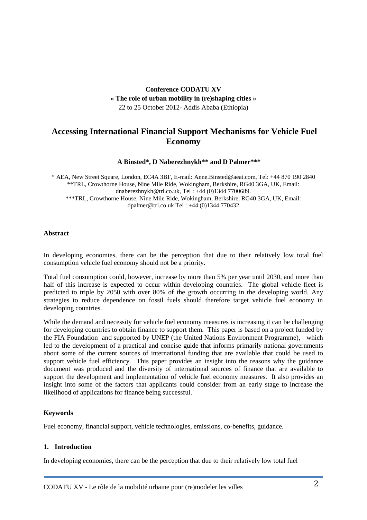## **Conference CODATU XV « The role of urban mobility in (re)shaping cities »** 22 to 25 October 2012- Addis Ababa (Ethiopia)

# **Accessing International Financial Support Mechanisms for Vehicle Fuel Economy**

#### **A Binsted\*, D Naberezhnykh\*\* and D Palmer\*\*\***

\* AEA, New Street Square, London, EC4A 3BF, E-mail: Anne.Binsted@aeat.com, Tel: +44 870 190 2840 \*\*TRL, Crowthorne House, Nine Mile Ride, Wokingham, Berkshire, RG40 3GA, UK, Email: dnaberezhnykh@trl.co.uk, Tel : +44 (0)1344 7700689. \*\*\*TRL, Crowthorne House, Nine Mile Ride, Wokingham, Berkshire, RG40 3GA, UK, Email: dpalmer@trl.co.uk Tel : +44 (0)1344 770432

#### **Abstract**

In developing economies, there can be the perception that due to their relatively low total fuel consumption vehicle fuel economy should not be a priority.

Total fuel consumption could, however, increase by more than 5% per year until 2030, and more than half of this increase is expected to occur within developing countries. The global vehicle fleet is predicted to triple by 2050 with over 80% of the growth occurring in the developing world. Any strategies to reduce dependence on fossil fuels should therefore target vehicle fuel economy in developing countries.

While the demand and necessity for vehicle fuel economy measures is increasing it can be challenging for developing countries to obtain finance to support them. This paper is based on a project funded by the FIA Foundation and supported by UNEP (the United Nations Environment Programme), which led to the development of a practical and concise guide that informs primarily national governments about some of the current sources of international funding that are available that could be used to support vehicle fuel efficiency. This paper provides an insight into the reasons why the guidance document was produced and the diversity of international sources of finance that are available to support the development and implementation of vehicle fuel economy measures. It also provides an insight into some of the factors that applicants could consider from an early stage to increase the likelihood of applications for finance being successful.

### **Keywords**

Fuel economy, financial support, vehicle technologies, emissions, co-benefits, guidance.

#### **1. Introduction**

In developing economies, there can be the perception that due to their relatively low total fuel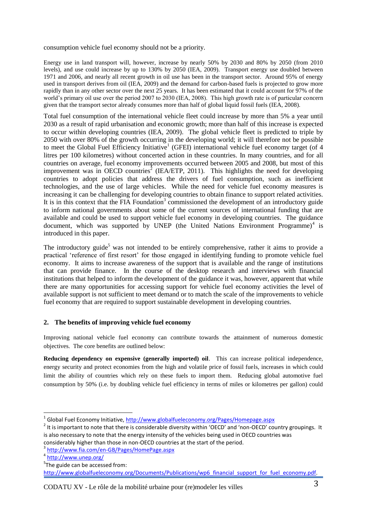consumption vehicle fuel economy should not be a priority.

Energy use in land transport will, however, increase by nearly 50% by 2030 and 80% by 2050 (from 2010 levels), and use could increase by up to 130% by 2050 (IEA, 2009). Transport energy use doubled between 1971 and 2006, and nearly all recent growth in oil use has been in the transport sector. Around 95% of energy used in transport derives from oil (IEA, 2009) and the demand for carbon-based fuels is projected to grow more rapidly than in any other sector over the next 25 years. It has been estimated that it could account for 97% of the world's primary oil use over the period 2007 to 2030 (IEA, 2008). This high growth rate is of particular concern given that the transport sector already consumes more than half of global liquid fossil fuels (IEA, 2008).

Total fuel consumption of the international vehicle fleet could increase by more than 5% a year until 2030 as a result of rapid urbanisation and economic growth; more than half of this increase is expected to occur within developing countries (IEA, 2009). The global vehicle fleet is predicted to triple by 2050 with over 80% of the growth occurring in the developing world; it will therefore not be possible to meet the Global Fuel Efficiency Initiative<sup>1</sup> (GFEI) international vehicle fuel economy target (of 4 litres per 100 kilometres) without concerted action in these countries. In many countries, and for all countries on average, fuel economy improvements occurred between 2005 and 2008, but most of this improvement was in OECD countries<sup>2</sup> (IEA/ETP, 2011). This highlights the need for developing countries to adopt policies that address the drivers of fuel consumption, such as inefficient technologies, and the use of large vehicles. While the need for vehicle fuel economy measures is increasing it can be challenging for developing countries to obtain finance to support related activities. It is in this context that the FIA Foundation<sup>3</sup> commissioned the development of an introductory guide to inform national governments about some of the current sources of international funding that are available and could be used to support vehicle fuel economy in developing countries. The guidance document, which was supported by UNEP (the United Nations Environment Programme)<sup>4</sup> is introduced in this paper.

The introductory guide<sup>5</sup> was not intended to be entirely comprehensive, rather it aims to provide a practical 'reference of first resort' for those engaged in identifying funding to promote vehicle fuel economy. It aims to increase awareness of the support that is available and the range of institutions that can provide finance. In the course of the desktop research and interviews with financial institutions that helped to inform the development of the guidance it was, however, apparent that while there are many opportunities for accessing support for vehicle fuel economy activities the level of available support is not sufficient to meet demand or to match the scale of the improvements to vehicle fuel economy that are required to support sustainable development in developing countries.

#### **2. The benefits of improving vehicle fuel economy**

Improving national vehicle fuel economy can contribute towards the attainment of numerous domestic objectives. The core benefits are outlined below:

**Reducing dependency on expensive (generally imported) oil**. This can increase political independence, energy security and protect economies from the high and volatile price of fossil fuels, increases in which could limit the ability of countries which rely on these fuels to import them. Reducing global automotive fuel consumption by 50% (i.e. by doubling vehicle fuel efficiency in terms of miles or kilometres per gallon) could

 1 Global Fuel Economy Initiative, <http://www.globalfueleconomy.org/Pages/Homepage.aspx>

 $2$  It is important to note that there is considerable diversity within 'OECD' and 'non-OECD' country groupings. It is also necessary to note that the energy intensity of the vehicles being used in OECD countries was considerably higher than those in non-OECD countries at the start of the period.

<sup>3</sup> <http://www.fia.com/en-GB/Pages/HomePage.aspx>

<sup>&</sup>lt;sup>4</sup> <http://www.unep.org/>

<sup>&</sup>lt;sup>5</sup>The guide can be accessed from: [http://www.globalfueleconomy.org/Documents/Publications/wp6\\_financial\\_support\\_for\\_fuel\\_economy.pdf.](http://www.globalfueleconomy.org/Documents/Publications/wp6_financial_support_for_fuel_economy.pdf)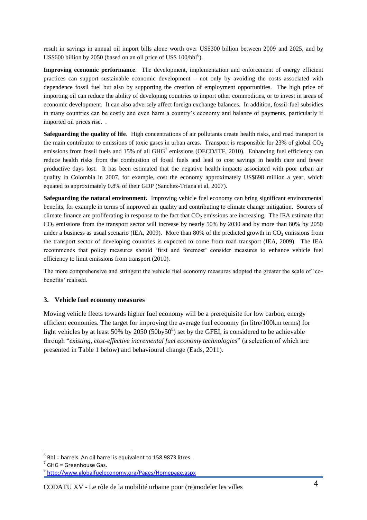result in savings in annual oil import bills alone worth over US\$300 billion between 2009 and 2025, and by US\$600 billion by 2050 (based on an oil price of US\$  $100/bb1<sup>6</sup>$ ).

**Improving economic performance**. The development, implementation and enforcement of energy efficient practices can support sustainable economic development – not only by avoiding the costs associated with dependence fossil fuel but also by supporting the creation of employment opportunities. The high price of importing oil can reduce the ability of developing countries to import other commodities, or to invest in areas of economic development. It can also adversely affect foreign exchange balances. In addition, fossil-fuel subsidies in many countries can be costly and even harm a country's economy and balance of payments, particularly if imported oil prices rise. .

**Safeguarding the quality of life**. High concentrations of air pollutants create health risks, and road transport is the main contributor to emissions of toxic gases in urban areas. Transport is responsible for  $23\%$  of global  $CO<sub>2</sub>$ emissions from fossil fuels and 15% of all  $GHG<sup>7</sup>$  emissions (OECD/ITF, 2010). Enhancing fuel efficiency can reduce health risks from the combustion of fossil fuels and lead to cost savings in health care and fewer productive days lost. It has been estimated that the negative health impacts associated with poor urban air quality in Colombia in 2007, for example, cost the economy approximately US\$698 million a year, which equated to approximately 0.8% of their GDP (Sanchez-Triana et al, 2007).

**Safeguarding the natural environment.** Improving vehicle fuel economy can bring significant environmental benefits, for example in terms of improved air quality and contributing to climate change mitigation. Sources of climate finance are proliferating in response to the fact that  $CO<sub>2</sub>$  emissions are increasing. The IEA estimate that CO<sup>2</sup> emissions from the transport sector will increase by nearly 50% by 2030 and by more than 80% by 2050 under a business as usual scenario (IEA, 2009). More than 80% of the predicted growth in  $CO<sub>2</sub>$  emissions from the transport sector of developing countries is expected to come from road transport (IEA, 2009). The IEA recommends that policy measures should 'first and foremost' consider measures to enhance vehicle fuel efficiency to limit emissions from transport (2010).

The more comprehensive and stringent the vehicle fuel economy measures adopted the greater the scale of 'cobenefits' realised.

#### **3. Vehicle fuel economy measures**

Moving vehicle fleets towards higher fuel economy will be a prerequisite for low carbon, energy efficient economies. The target for improving the average fuel economy (in litre/100km terms) for light vehicles by at least 50% by  $2050 (50$ by $50^8$ ) set by the GFEI, is considered to be achievable through "*existing, cost-effective incremental fuel economy technologies*" (a selection of which are presented in [Table 1](#page-5-0) below) and behavioural change (Eads, 2011).

**.** 

 $<sup>6</sup>$  Bbl = barrels. An oil barrel is equivalent to 158.9873 litres.</sup>

 $<sup>7</sup>$  GHG = Greenhouse Gas.</sup>

<sup>8</sup> <http://www.globalfueleconomy.org/Pages/Homepage.aspx>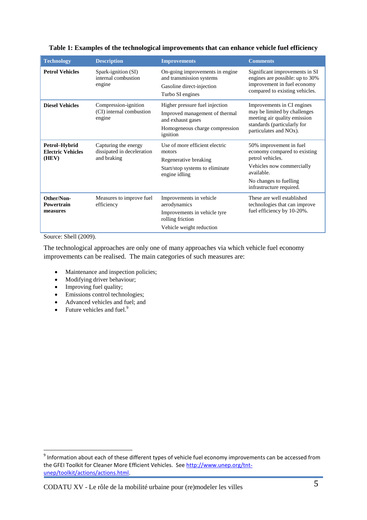| <b>Technology</b>                                  | <b>Description</b>                                                | <b>Improvements</b>                                                                                                                 | <b>Comments</b>                                                                                                                                                              |
|----------------------------------------------------|-------------------------------------------------------------------|-------------------------------------------------------------------------------------------------------------------------------------|------------------------------------------------------------------------------------------------------------------------------------------------------------------------------|
| <b>Petrol Vehicles</b>                             | Spark-ignition (SI)<br>internal combustion<br>engine              | On-going improvements in engine<br>and transmission systems<br>Gasoline direct-injection<br>Turbo SI engines                        | Significant improvements in SI<br>engines are possible: up to 30%<br>improvement in fuel economy<br>compared to existing vehicles.                                           |
| <b>Diesel Vehicles</b>                             | Compression-ignition<br>(CI) internal combustion<br>engine        | Higher pressure fuel injection<br>Improved management of thermal<br>and exhaust gases<br>Homogeneous charge compression<br>ignition | Improvements in CI engines<br>may be limited by challenges<br>meeting air quality emission<br>standards (particularly for<br>particulates and NO <sub>x</sub> ).             |
| Petrol-Hybrid<br><b>Electric Vehicles</b><br>(HEV) | Capturing the energy<br>dissipated in deceleration<br>and braking | Use of more efficient electric<br>motors<br>Regenerative breaking<br>Start/stop systems to eliminate<br>engine idling               | 50% improvement in fuel<br>economy compared to existing<br>petrol vehicles.<br>Vehicles now commercially<br>available.<br>No changes to fuelling<br>infrastructure required. |
| Other/Non-<br>Powertrain<br>measures               | Measures to improve fuel<br>efficiency                            | Improvements in vehicle<br>aerodynamics<br>Improvements in vehicle tyre<br>rolling friction<br>Vehicle weight reduction             | These are well established<br>technologies that can improve<br>fuel efficiency by 10-20%.                                                                                    |

#### <span id="page-5-0"></span>**Table 1: Examples of the technological improvements that can enhance vehicle fuel efficiency**

Source: Shell (2009).

**.** 

The technological approaches are only one of many approaches via which vehicle fuel economy improvements can be realised. The main categories of such measures are:

- Maintenance and inspection policies;
- Modifying driver behaviour;
- Improving fuel quality;
- Emissions control technologies;
- Advanced vehicles and fuel; and
- $\bullet$  Future vehicles and fuel.<sup>9</sup>

 $9$  Information about each of these different types of vehicle fuel economy improvements can be accessed from the GFEI Toolkit for Cleaner More Efficient Vehicles. See [http://www.unep.org/tnt](http://www.unep.org/tnt-unep/toolkit/actions/actions.html)[unep/toolkit/actions/actions.html.](http://www.unep.org/tnt-unep/toolkit/actions/actions.html)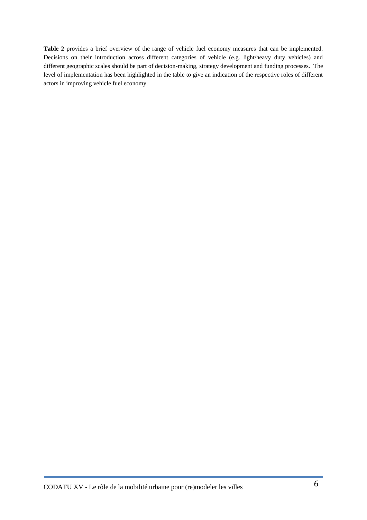<span id="page-6-0"></span>**[Table 2](#page-6-0)** provides a brief overview of the range of vehicle fuel economy measures that can be implemented. Decisions on their introduction across different categories of vehicle (e.g. light/heavy duty vehicles) and different geographic scales should be part of decision-making, strategy development and funding processes. The level of implementation has been highlighted in the table to give an indication of the respective roles of different actors in improving vehicle fuel economy.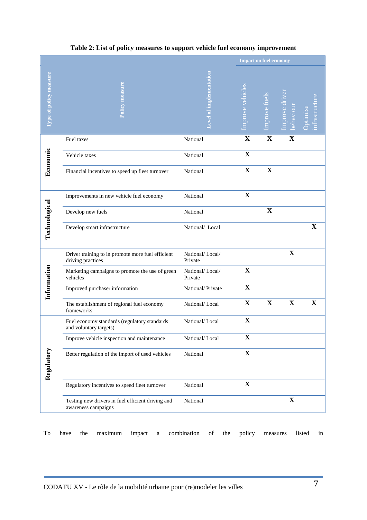|                        |                                                                          |                            | <b>Impact on fuel economy</b> |                      |                            |             |
|------------------------|--------------------------------------------------------------------------|----------------------------|-------------------------------|----------------------|----------------------------|-------------|
| Type of policy measure | Policy measure                                                           |                            | mprove vehicles               | <b>Improve fuels</b> | mprove driver<br>behaviour | Optimise    |
| Economic               | Fuel taxes                                                               | National                   | $\mathbf X$                   | $\mathbf X$          | $\mathbf X$                |             |
|                        | Vehicle taxes                                                            | National                   | $\mathbf X$                   |                      |                            |             |
|                        | Financial incentives to speed up fleet turnover                          | National                   | $\mathbf X$                   | $\mathbf X$          |                            |             |
| Technological          | Improvements in new vehicle fuel economy                                 | National                   | $\mathbf X$                   |                      |                            |             |
|                        | Develop new fuels                                                        | National                   |                               | $\mathbf X$          |                            |             |
|                        | Develop smart infrastructure                                             | National/ Local            |                               |                      |                            | $\mathbf X$ |
| Information            | Driver training to in promote more fuel efficient<br>driving practices   | National/Local/<br>Private |                               |                      | $\mathbf X$                |             |
|                        | Marketing campaigns to promote the use of green<br>vehicles              | National/Local/<br>Private | $\mathbf X$                   |                      |                            |             |
|                        | Improved purchaser information                                           | National/Private           | $\mathbf X$                   |                      |                            |             |
|                        | The establishment of regional fuel economy<br>frameworks                 | National/Local             | $\mathbf X$                   | $\mathbf X$          | $\mathbf X$                | $\mathbf X$ |
| Regulatory             | Fuel economy standards (regulatory standards<br>and voluntary targets)   | National/Local             | $\mathbf X$                   |                      |                            |             |
|                        | Improve vehicle inspection and maintenance                               | National/Local             | $\mathbf X$                   |                      |                            |             |
|                        | Better regulation of the import of used vehicles                         | National                   | $\mathbf X$                   |                      |                            |             |
|                        | Regulatory incentives to speed fleet turnover                            | National                   | $\mathbf X$                   |                      |                            |             |
|                        | Testing new drivers in fuel efficient driving and<br>awareness campaigns | National                   |                               |                      | $\mathbf{X}$               |             |

## **Table 2: List of policy measures to support vehicle fuel economy improvement**

To have the maximum impact a combination of the policy measures listed in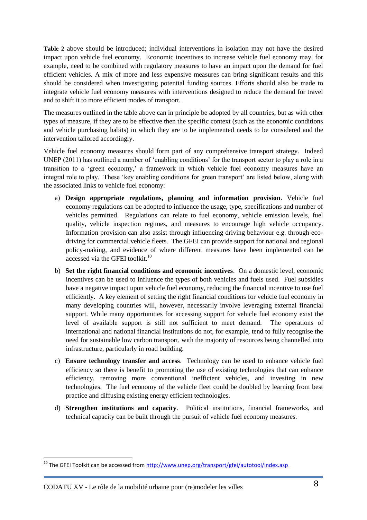**[Table 2](#page-6-0)** above should be introduced; individual interventions in isolation may not have the desired impact upon vehicle fuel economy. Economic incentives to increase vehicle fuel economy may, for example, need to be combined with regulatory measures to have an impact upon the demand for fuel efficient vehicles. A mix of more and less expensive measures can bring significant results and this should be considered when investigating potential funding sources. Efforts should also be made to integrate vehicle fuel economy measures with interventions designed to reduce the demand for travel and to shift it to more efficient modes of transport.

The measures outlined in the table above can in principle be adopted by all countries, but as with other types of measure, if they are to be effective then the specific context (such as the economic conditions and vehicle purchasing habits) in which they are to be implemented needs to be considered and the intervention tailored accordingly.

Vehicle fuel economy measures should form part of any comprehensive transport strategy. Indeed UNEP (2011) has outlined a number of 'enabling conditions' for the transport sector to play a role in a transition to a 'green economy,' a framework in which vehicle fuel economy measures have an integral role to play. These 'key enabling conditions for green transport' are listed below, along with the associated links to vehicle fuel economy:

- a) **Design appropriate regulations, planning and information provision**. Vehicle fuel economy regulations can be adopted to influence the usage, type, specifications and number of vehicles permitted. Regulations can relate to fuel economy, vehicle emission levels, fuel quality, vehicle inspection regimes, and measures to encourage high vehicle occupancy. Information provision can also assist through influencing driving behaviour e.g. through ecodriving for commercial vehicle fleets. The GFEI can provide support for national and regional policy-making, and evidence of where different measures have been implemented can be accessed via the GFEI toolkit.<sup>10</sup>
- b) **Set the right financial conditions and economic incentives**. On a domestic level, economic incentives can be used to influence the types of both vehicles and fuels used. Fuel subsidies have a negative impact upon vehicle fuel economy, reducing the financial incentive to use fuel efficiently. A key element of setting the right financial conditions for vehicle fuel economy in many developing countries will, however, necessarily involve leveraging external financial support. While many opportunities for accessing support for vehicle fuel economy exist the level of available support is still not sufficient to meet demand. The operations of international and national financial institutions do not, for example, tend to fully recognise the need for sustainable low carbon transport, with the majority of resources being channelled into infrastructure, particularly in road building.
- c) **Ensure technology transfer and access**. Technology can be used to enhance vehicle fuel efficiency so there is benefit to promoting the use of existing technologies that can enhance efficiency, removing more conventional inefficient vehicles, and investing in new technologies. The fuel economy of the vehicle fleet could be doubled by learning from best practice and diffusing existing energy efficient technologies.
- d) **Strengthen institutions and capacity**. Political institutions, financial frameworks, and technical capacity can be built through the pursuit of vehicle fuel economy measures.

1

<sup>&</sup>lt;sup>10</sup> The GFEI Toolkit can be accessed from <u>http://www.unep.org/transport/gfei/autotool/index.asp</u>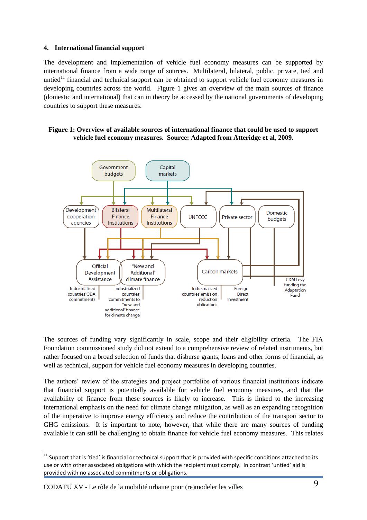#### **4. International financial support**

The development and implementation of vehicle fuel economy measures can be supported by international finance from a wide range of sources. Multilateral, bilateral, public, private, tied and untied<sup>11</sup> financial and technical support can be obtained to support vehicle fuel economy measures in developing countries across the world. [Figure 1](#page-9-0) gives an overview of the main sources of finance (domestic and international) that can in theory be accessed by the national governments of developing countries to support these measures.

#### <span id="page-9-0"></span>**Figure 1: Overview of available sources of international finance that could be used to support vehicle fuel economy measures. Source: Adapted from Atteridge et al, 2009.**



The sources of funding vary significantly in scale, scope and their eligibility criteria. The FIA Foundation commissioned study did not extend to a comprehensive review of related instruments, but rather focused on a broad selection of funds that disburse grants, loans and other forms of financial, as well as technical, support for vehicle fuel economy measures in developing countries.

The authors' review of the strategies and project portfolios of various financial institutions indicate that financial support is potentially available for vehicle fuel economy measures, and that the availability of finance from these sources is likely to increase. This is linked to the increasing international emphasis on the need for climate change mitigation, as well as an expanding recognition of the imperative to improve energy efficiency and reduce the contribution of the transport sector to GHG emissions. It is important to note, however, that while there are many sources of funding available it can still be challenging to obtain finance for vehicle fuel economy measures. This relates

**<sup>.</sup>**  $11$  Support that is 'tied' is financial or technical support that is provided with specific conditions attached to its use or with other associated obligations with which the recipient must comply. In contrast 'untied' aid is provided with no associated commitments or obligations.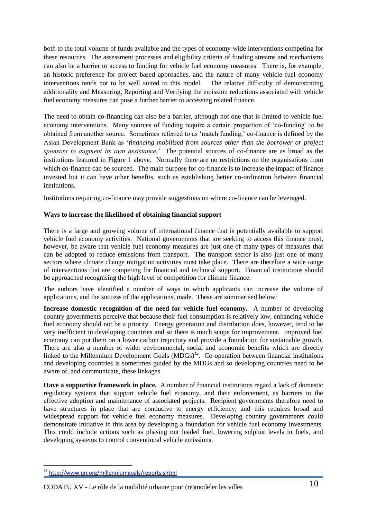both to the total volume of funds available and the types of economy-wide interventions competing for these resources. The assessment processes and eligibility criteria of funding streams and mechanisms can also be a barrier to access to funding for vehicle fuel economy measures. There is, for example, an historic preference for project based approaches, and the nature of many vehicle fuel economy interventions tends not to be well suited to this model. The relative difficulty of demonstrating additionality and Measuring, Reporting and Verifying the emission reductions associated with vehicle fuel economy measures can pose a further barrier to accessing related finance.

The need to obtain co-financing can also be a barrier, although not one that is limited to vehicle fuel economy interventions. Many sources of funding require a certain proportion of 'co-funding' to be obtained from another source. Sometimes referred to as 'match funding,' co-finance is defined by the Asian Development Bank as '*financing mobilised from sources other than the borrower or project sponsors to augment its own assistance.'* The potential sources of co-finance are as broad as the institutions featured in [Figure 1](#page-9-0) above. Normally there are no restrictions on the organisations from which co-finance can be sourced. The main purpose for co-finance is to increase the impact of finance invested but it can have other benefits, such as establishing better co-ordination between financial institutions.

Institutions requiring co-finance may provide suggestions on where co-finance can be leveraged.

#### **Ways to increase the likelihood of obtaining financial support**

There is a large and growing volume of international finance that is potentially available to support vehicle fuel economy activities. National governments that are seeking to access this finance must, however, be aware that vehicle fuel economy measures are just one of many types of measures that can be adopted to reduce emissions from transport. The transport sector is also just one of many sectors where climate change mitigation activities must take place. There are therefore a wide range of interventions that are competing for financial and technical support. Financial institutions should be approached recognising the high level of competition for climate finance.

The authors have identified a number of ways in which applicants can increase the volume of applications, and the success of the applications, made. These are summarised below:

**Increase domestic recognition of the need for vehicle fuel economy.** A number of developing country governments perceive that because their fuel consumption is relatively low, enhancing vehicle fuel economy should not be a priority. Energy generation and distribution does, however, tend to be very inefficient in developing countries and so there is much scope for improvement. Improved fuel economy can put them on a lower carbon trajectory and provide a foundation for sustainable growth. There are also a number of wider environmental, social and economic benefits which are directly linked to the Millennium Development Goals  $(MDGs)^{12}$ . Co-operation between financial institutions and developing countries is sometimes guided by the MDGs and so developing countries need to be aware of, and communicate, these linkages.

**Have a supportive framework in place.** A number of financial institutions regard a lack of domestic regulatory systems that support vehicle fuel economy, and their enforcement, as barriers to the effective adoption and maintenance of associated projects. Recipient governments therefore need to have structures in place that are conducive to energy efficiency, and this requires broad and widespread support for vehicle fuel economy measures. Developing country governments could demonstrate initiative in this area by developing a foundation for vehicle fuel economy investments. This could include actions such as phasing out leaded fuel, lowering sulphur levels in fuels, and developing systems to control conventional vehicle emissions.

**.** 

<sup>&</sup>lt;sup>12</sup> <http://www.un.org/millenniumgoals/reports.shtml>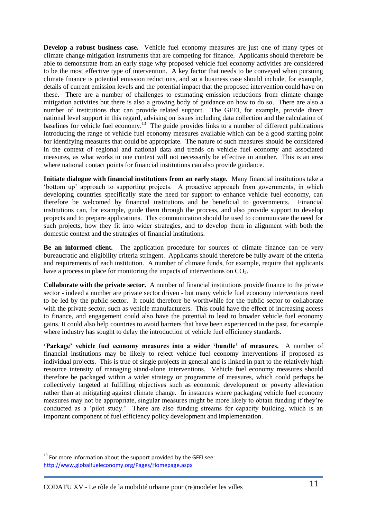**Develop a robust business case.** Vehicle fuel economy measures are just one of many types of climate change mitigation instruments that are competing for finance. Applicants should therefore be able to demonstrate from an early stage why proposed vehicle fuel economy activities are considered to be the most effective type of intervention. A key factor that needs to be conveyed when pursuing climate finance is potential emission reductions, and so a business case should include, for example, details of current emission levels and the potential impact that the proposed intervention could have on these. There are a number of challenges to estimating emission reductions from climate change mitigation activities but there is also a growing body of guidance on how to do so. There are also a number of institutions that can provide related support. The GFEI, for example, provide direct national level support in this regard, advising on issues including data collection and the calculation of baselines for vehicle fuel economy.<sup>13</sup> The guide provides links to a number of different publications introducing the range of vehicle fuel economy measures available which can be a good starting point for identifying measures that could be appropriate. The nature of such measures should be considered in the context of regional and national data and trends on vehicle fuel economy and associated measures, as what works in one context will not necessarily be effective in another. This is an area where national contact points for financial institutions can also provide guidance.

**Initiate dialogue with financial institutions from an early stage.** Many financial institutions take a 'bottom up' approach to supporting projects. A proactive approach from governments, in which developing countries specifically state the need for support to enhance vehicle fuel economy, can therefore be welcomed by financial institutions and be beneficial to governments. Financial institutions can, for example, guide them through the process, and also provide support to develop projects and to prepare applications. This communication should be used to communicate the need for such projects, how they fit into wider strategies, and to develop them in alignment with both the domestic context and the strategies of financial institutions.

**Be an informed client.** The application procedure for sources of climate finance can be very bureaucratic and eligibility criteria stringent. Applicants should therefore be fully aware of the criteria and requirements of each institution. A number of climate funds, for example, require that applicants have a process in place for monitoring the impacts of interventions on  $CO<sub>2</sub>$ .

**Collaborate with the private sector.** A number of financial institutions provide finance to the private sector - indeed a number are private sector driven - but many vehicle fuel economy interventions need to be led by the public sector. It could therefore be worthwhile for the public sector to collaborate with the private sector, such as vehicle manufacturers. This could have the effect of increasing access to finance, and engagement could also have the potential to lead to broader vehicle fuel economy gains. It could also help countries to avoid barriers that have been experienced in the past, for example where industry has sought to delay the introduction of vehicle fuel efficiency standards.

**'Package' vehicle fuel economy measures into a wider 'bundle' of measures.** A number of financial institutions may be likely to reject vehicle fuel economy interventions if proposed as individual projects. This is true of single projects in general and is linked in part to the relatively high resource intensity of managing stand-alone interventions. Vehicle fuel economy measures should therefore be packaged within a wider strategy or programme of measures, which could perhaps be collectively targeted at fulfilling objectives such as economic development or poverty alleviation rather than at mitigating against climate change. In instances where packaging vehicle fuel economy measures may not be appropriate, singular measures might be more likely to obtain funding if they're conducted as a 'pilot study.' There are also funding streams for capacity building, which is an important component of fuel efficiency policy development and implementation.

**.** 

 $13$  For more information about the support provided by the GFEI see: <http://www.globalfueleconomy.org/Pages/Homepage.aspx>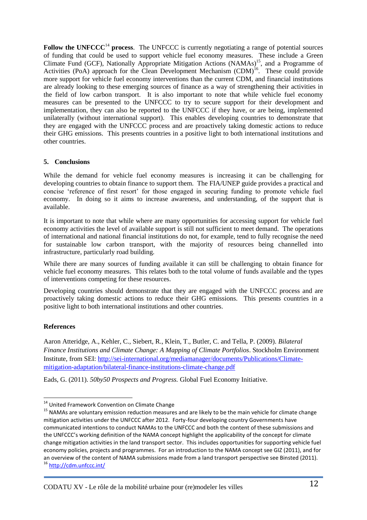**Follow the UNFCCC**<sup>14</sup> **process**. The UNFCCC is currently negotiating a range of potential sources of funding that could be used to support vehicle fuel economy measures. These include a Green Climate Fund (GCF), Nationally Appropriate Mitigation Actions (NAMAs)<sup>15</sup>, and a Programme of Activities (PoA) approach for the Clean Development Mechanism (CDM)<sup>16</sup>. These could provide more support for vehicle fuel economy interventions than the current CDM, and financial institutions are already looking to these emerging sources of finance as a way of strengthening their activities in the field of low carbon transport. It is also important to note that while vehicle fuel economy measures can be presented to the UNFCCC to try to secure support for their development and implementation, they can also be reported to the UNFCCC if they have, or are being, implemented unilaterally (without international support). This enables developing countries to demonstrate that they are engaged with the UNFCCC process and are proactively taking domestic actions to reduce their GHG emissions. This presents countries in a positive light to both international institutions and other countries.

#### **5. Conclusions**

While the demand for vehicle fuel economy measures is increasing it can be challenging for developing countries to obtain finance to support them. The FIA/UNEP guide provides a practical and concise 'reference of first resort' for those engaged in securing funding to promote vehicle fuel economy. In doing so it aims to increase awareness, and understanding, of the support that is available.

It is important to note that while where are many opportunities for accessing support for vehicle fuel economy activities the level of available support is still not sufficient to meet demand. The operations of international and national financial institutions do not, for example, tend to fully recognise the need for sustainable low carbon transport, with the majority of resources being channelled into infrastructure, particularly road building.

While there are many sources of funding available it can still be challenging to obtain finance for vehicle fuel economy measures. This relates both to the total volume of funds available and the types of interventions competing for these resources.

Developing countries should demonstrate that they are engaged with the UNFCCC process and are proactively taking domestic actions to reduce their GHG emissions. This presents countries in a positive light to both international institutions and other countries.

### **References**

**.** 

Aaron Atteridge, A., Kehler, C., Siebert, R., Klein, T., Butler, C. and Tella, P. (2009). *Bilateral Finance Institutions and Climate Change: A Mapping of Climate Portfolios*. Stockholm Environment Institute, from SEI: [http://sei-international.org/mediamanager/documents/Publications/Climate](http://sei-international.org/mediamanager/documents/Publications/Climate-mitigation-adaptation/bilateral-finance-institutions-climate-change.pdf)[mitigation-adaptation/bilateral-finance-institutions-climate-change.pdf](http://sei-international.org/mediamanager/documents/Publications/Climate-mitigation-adaptation/bilateral-finance-institutions-climate-change.pdf)

Eads, G. (2011). *50by50 Prospects and Progress.* Global Fuel Economy Initiative.

<sup>&</sup>lt;sup>14</sup> United Framework Convention on Climate Change

<sup>&</sup>lt;sup>15</sup> NAMAs are voluntary emission reduction measures and are likely to be the main vehicle for climate change mitigation activities under the UNFCCC after 2012. Forty-four developing country Governments have communicated intentions to conduct NAMAs to the UNFCCC and both the content of these submissions and the UNFCCC's working definition of the NAMA concept highlight the applicability of the concept for climate change mitigation activities in the land transport sector. This includes opportunities for supporting vehicle fuel economy policies, projects and programmes. For an introduction to the NAMA concept see GIZ (2011), and for an overview of the content of NAMA submissions made from a land transport perspective see Binsted (2011). <sup>16</sup> <http://cdm.unfccc.int/>